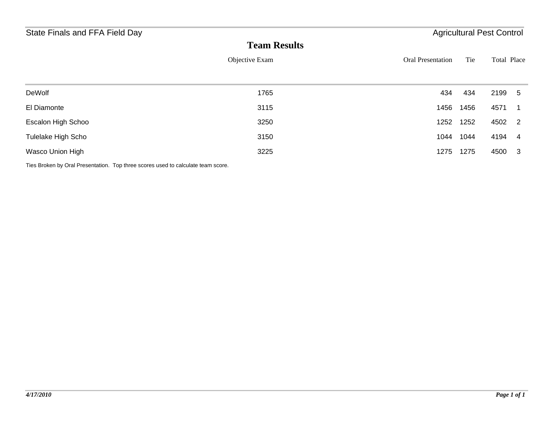| State Finals and FFA Field Day | <b>Agricultural Pest Control</b> |                          |      |             |
|--------------------------------|----------------------------------|--------------------------|------|-------------|
|                                | <b>Team Results</b>              |                          |      |             |
|                                | Objective Exam                   | <b>Oral Presentation</b> | Tie  | Total Place |
|                                |                                  |                          |      |             |
| DeWolf                         | 1765                             | 434                      | 434  | 2199 5      |
| El Diamonte                    | 3115                             | 1456                     | 1456 | 4571        |
| Escalon High Schoo             | 3250                             | 1252                     | 1252 | 4502 2      |
| Tulelake High Scho             | 3150                             | 1044                     | 1044 | 4194 4      |
| Wasco Union High               | 3225                             | 1275                     | 1275 | 4500<br>3   |

Ties Broken by Oral Presentation. Top three scores used to calculate team score.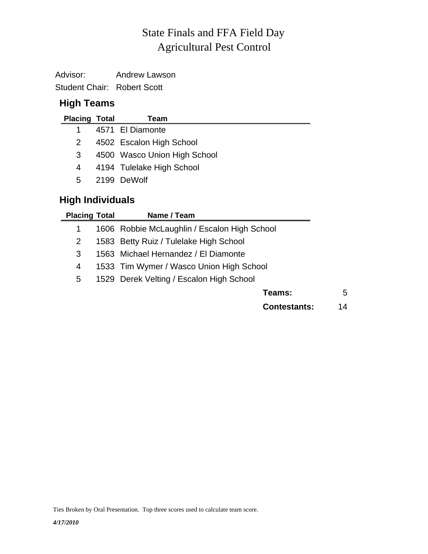# Agricultural Pest Control State Finals and FFA Field Day

Advisor: Andrew Lawson Student Chair: Robert Scott

## **High Teams**

| <b>Placing Total</b> | Team                         |
|----------------------|------------------------------|
|                      | 4571 El Diamonte             |
| 2                    | 4502 Escalon High School     |
| 3                    | 4500 Wasco Union High School |
| 4                    | 4194 Tulelake High School    |
| 5.                   | 2199 DeWolf                  |
|                      |                              |

## **High Individuals**

 $\overline{\phantom{0}}$ 

| <b>Placing Total</b> | Name / Team                                  |    |
|----------------------|----------------------------------------------|----|
| 1                    | 1606 Robbie McLaughlin / Escalon High School |    |
| 2                    | 1583 Betty Ruiz / Tulelake High School       |    |
| 3                    | 1563 Michael Hernandez / El Diamonte         |    |
| 4                    | 1533 Tim Wymer / Wasco Union High School     |    |
| 5                    | 1529 Derek Velting / Escalon High School     |    |
|                      | Teams:                                       | 5  |
|                      | <b>Contestants:</b>                          | 14 |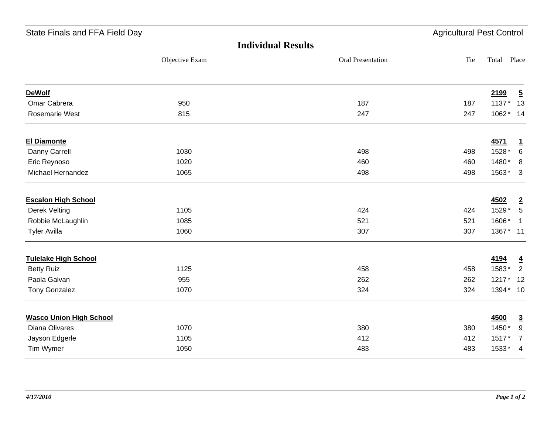| State Finals and FFA Field Day |                | <b>Agricultural Pest Control</b> |     |           |                         |
|--------------------------------|----------------|----------------------------------|-----|-----------|-------------------------|
|                                |                | <b>Individual Results</b>        |     |           |                         |
|                                | Objective Exam | Oral Presentation                | Tie | Total     | Place                   |
| <b>DeWolf</b>                  |                |                                  |     | 2199      | $\overline{5}$          |
| Omar Cabrera                   | 950            | 187                              | 187 | 1137*     | 13                      |
| Rosemarie West                 | 815            | 247                              | 247 | 1062* 14  |                         |
| <b>El Diamonte</b>             |                |                                  |     | 4571      | $\mathbf{1}$            |
| Danny Carrell                  | 1030           | 498                              | 498 | 1528*     | $\,6$                   |
| Eric Reynoso                   | 1020           | 460                              | 460 | 1480*     | 8                       |
| Michael Hernandez              | 1065           | 498                              | 498 | 1563*     | $\overline{\mathbf{3}}$ |
| <b>Escalon High School</b>     |                |                                  |     | 4502      | $\overline{2}$          |
| Derek Velting                  | 1105           | 424                              | 424 | 1529*     | $5\phantom{.0}$         |
| Robbie McLaughlin              | 1085           | 521                              | 521 | 1606*     | $\overline{1}$          |
| <b>Tyler Avilla</b>            | 1060           | 307                              | 307 | 1367* 11  |                         |
| <b>Tulelake High School</b>    |                |                                  |     | 4194      | $\overline{4}$          |
| <b>Betty Ruiz</b>              | 1125           | 458                              | 458 | 1583*     | $\overline{2}$          |
| Paola Galvan                   | 955            | 262                              | 262 | 1217*     | 12                      |
| <b>Tony Gonzalez</b>           | 1070           | 324                              | 324 | 1394* 10  |                         |
| <b>Wasco Union High School</b> |                |                                  |     | 4500      | $\overline{3}$          |
| Diana Olivares                 | 1070           | 380                              | 380 | 1450*     | 9                       |
| Jayson Edgerle                 | 1105           | 412                              | 412 | 1517*     | $\overline{7}$          |
| Tim Wymer                      | 1050           | 483                              | 483 | $1533* 4$ |                         |